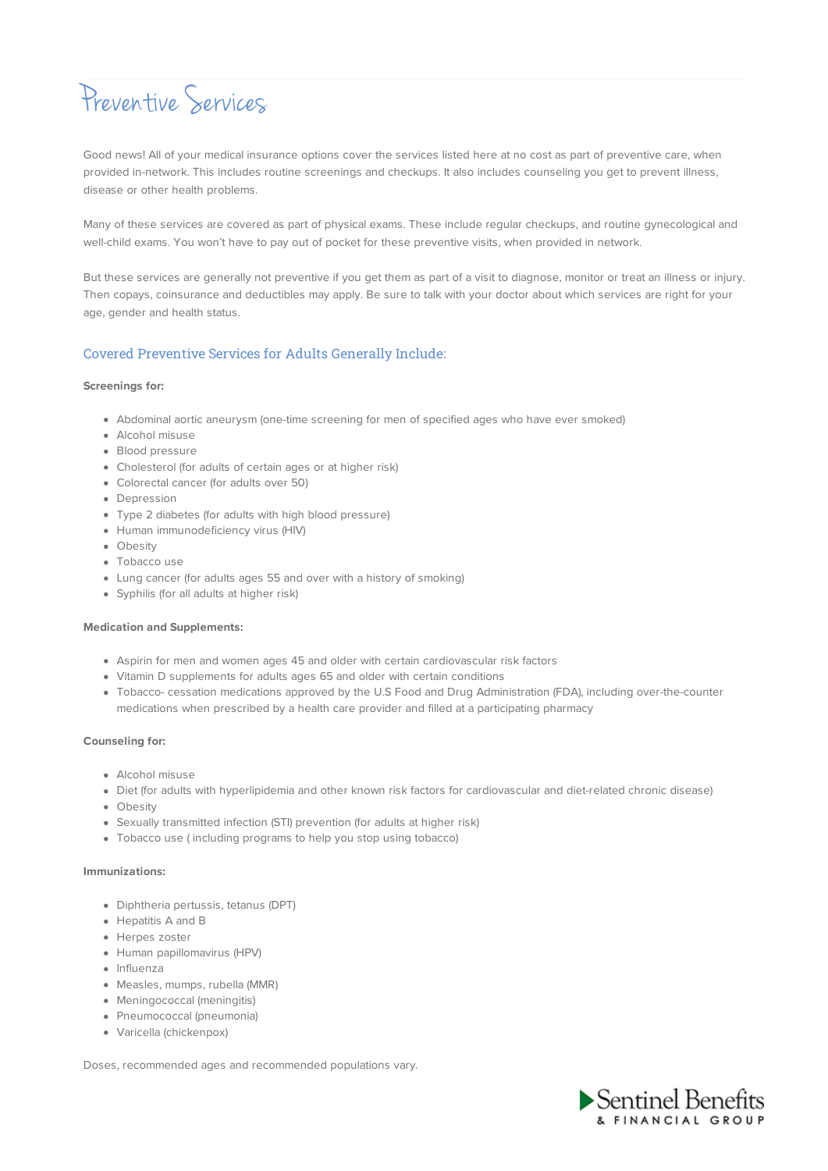# Preventive Services

Good news! All of your medical insurance options cover the services listed here at no cost as part of preventive care, when provided in-network. This includes routine screenings and checkups. It also includes counseling you get to prevent illness, disease or other health problems.

Many of these services are covered as part of physical exams. These include regular checkups, and routine gynecological and well-child exams. You won't have to pay out of pocket for these preventive visits, when provided in network.

But these services are generally not preventive if you get them as part of a visit to diagnose, monitor or treat an illness or injury. Then copays, coinsurance and deductibles may apply. Be sure to talk with your doctor about which services are right for your age, gender and health status.

# Covered Preventive Services for Adults Generally Include:

## **Screenings for:**

- Abdominal aortic aneurysm (one-time screening for men of specified ages who have ever smoked)
- Alcohol misuse
- Blood pressure
- Cholesterol (for adults of certain ages or at higher risk)
- Colorectal cancer (for adults over 50)
- Depression
- Type 2 diabetes (for adults with high blood pressure)
- Human immunodeficiency virus (HIV)
- Obesity
- Tobacco use
- Lung cancer (for adults ages 55 and over with a history of smoking)
- Syphilis (for all adults at higher risk)

#### **Medication and Supplements:**

- Aspirin for men and women ages 45 and older with certain cardiovascular risk factors
- Vitamin D supplements for adults ages 65 and older with certain conditions
- Tobacco- cessation medications approved by the U.S Food and Drug Administration (FDA), including over-the-counter medications when prescribed by a health care provider and filled at a participating pharmacy

## **Counseling for:**

- Alcohol misuse
- Diet (for adults with hyperlipidemia and other known risk factors for cardiovascular and diet-related chronic disease)
- **•** Obesity
- Sexually transmitted infection (STI) prevention (for adults at higher risk)
- Tobacco use ( including programs to help you stop using tobacco)

## **Immunizations:**

- Diphtheria pertussis, tetanus (DPT)
- Hepatitis A and B
- Herpes zoster
- Human papillomavirus (HPV)
- Influenza
- Measles, mumps, rubella (MMR)
- Meningococcal (meningitis)
- Pneumococcal (pneumonia)
- Varicella (chickenpox)

Doses, recommended ages and recommended populations vary.

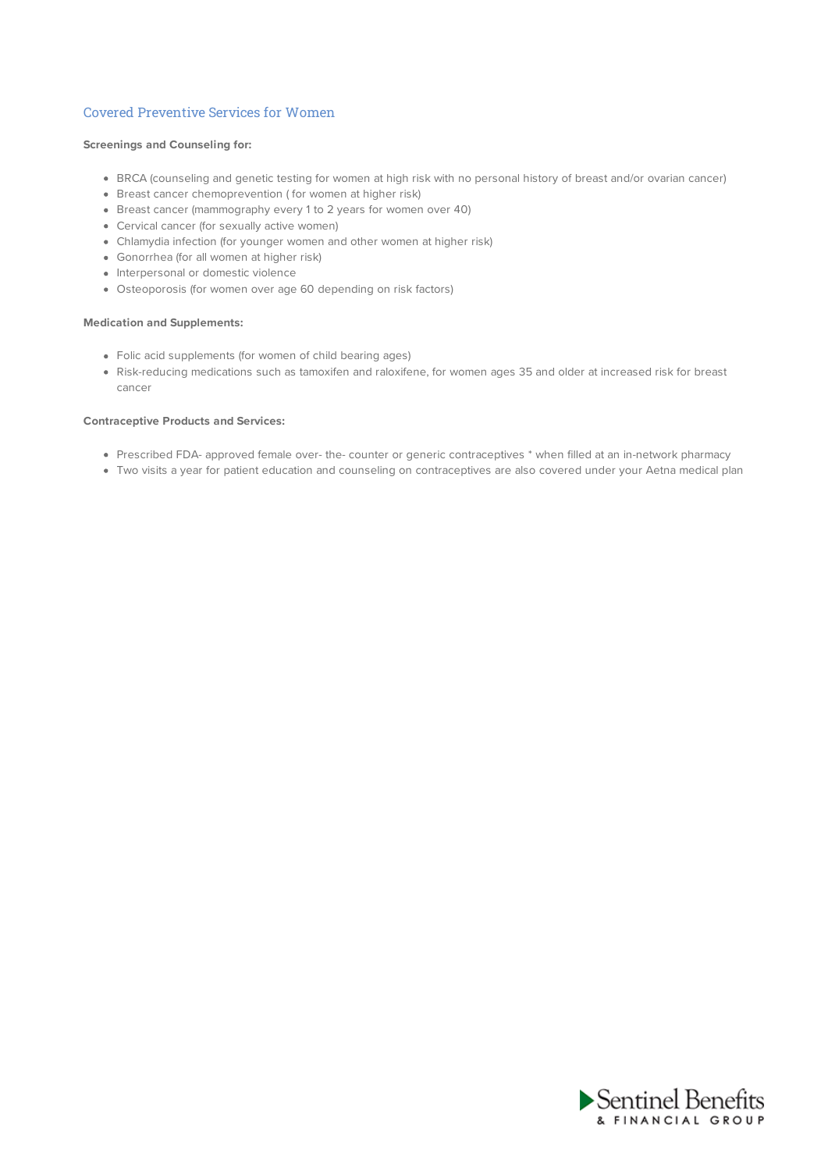# Covered Preventive Services for Women

## **Screenings and Counseling for:**

- BRCA (counseling and genetic testing for women at high risk with no personal history of breast and/or ovarian cancer)
- Breast cancer chemoprevention ( for women at higher risk)
- Breast cancer (mammography every 1 to 2 years for women over 40)
- Cervical cancer (for sexually active women)
- Chlamydia infection (for younger women and other women at higher risk)
- Gonorrhea (for all women at higher risk)
- Interpersonal or domestic violence
- Osteoporosis (for women over age 60 depending on risk factors)

#### **Medication and Supplements:**

- Folic acid supplements (for women of child bearing ages)
- Risk-reducing medications such as tamoxifen and raloxifene, for women ages 35 and older at increased risk for breast cancer

#### **Contraceptive Products and Services:**

- Prescribed FDA- approved female over- the- counter or generic contraceptives \* when filled at an in-network pharmacy
- Two visits a year for patient education and counseling on contraceptives are also covered under your Aetna medical plan

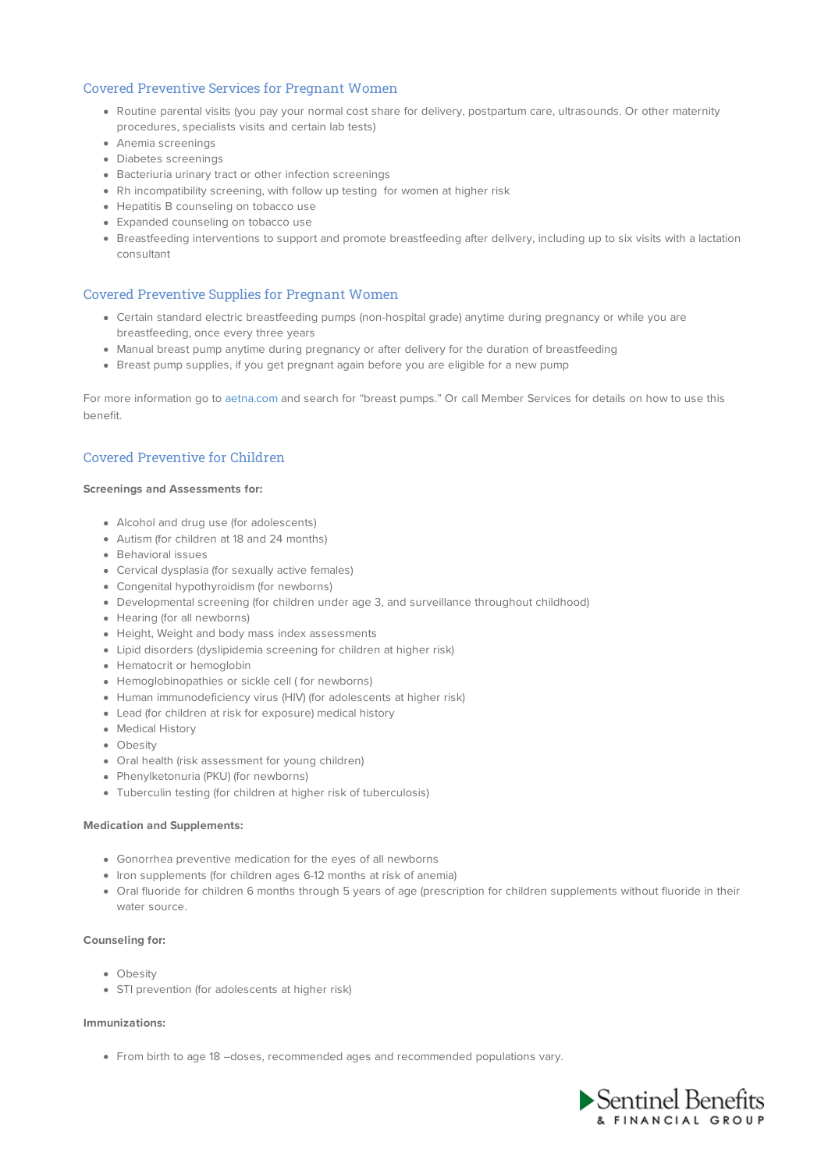# Covered Preventive Services for Pregnant Women

- Routine parental visits (you pay your normal cost share for delivery, postpartum care, ultrasounds. Or other maternity procedures, specialists visits and certain lab tests)
- Anemia screenings
- Diabetes screenings
- Bacteriuria urinary tract or other infection screenings
- Rh incompatibility screening, with follow up testing for women at higher risk
- Hepatitis B counseling on tobacco use
- Expanded counseling on tobacco use
- Breastfeeding interventions to support and promote breastfeeding after delivery, including up to six visits with a lactation consultant

## Covered Preventive Supplies for Pregnant Women

- Certain standard electric breastfeeding pumps (non-hospital grade) anytime during pregnancy or while you are breastfeeding, once every three years
- Manual breast pump anytime during pregnancy or after delivery for the duration of breastfeeding
- Breast pump supplies, if you get pregnant again before you are eligible for a new pump

For more information go to aetna.com and search for "breast pumps." Or call Member Services for details on how to use this benefit.

# Covered Preventive for Children

## **Screenings and Assessments for:**

- Alcohol and drug use (for adolescents)
- Autism (for children at 18 and 24 months)
- Behavioral issues
- Cervical dysplasia (for sexually active females)
- Congenital hypothyroidism (for newborns)
- Developmental screening (for children under age 3, and surveillance throughout childhood)
- Hearing (for all newborns)
- Height, Weight and body mass index assessments
- Lipid disorders (dyslipidemia screening for children at higher risk)
- Hematocrit or hemoglobin
- Hemoglobinopathies or sickle cell ( for newborns)
- Human immunodeficiency virus (HIV) (for adolescents at higher risk)
- Lead (for children at risk for exposure) medical history
- Medical History
- Obesity
- Oral health (risk assessment for young children)
- Phenylketonuria (PKU) (for newborns)
- Tuberculin testing (for children at higher risk of tuberculosis)

#### **Medication and Supplements:**

- Gonorrhea preventive medication for the eyes of all newborns
- Iron supplements (for children ages 6-12 months at risk of anemia)
- Oral fluoride for children 6 months through 5 years of age (prescription for children supplements without fluoride in their water source.

#### **Counseling for:**

- **•** Obesity
- STI prevention (for adolescents at higher risk)

#### **Immunizations:**

From birth to age 18 –doses, recommended ages and recommended populations vary.